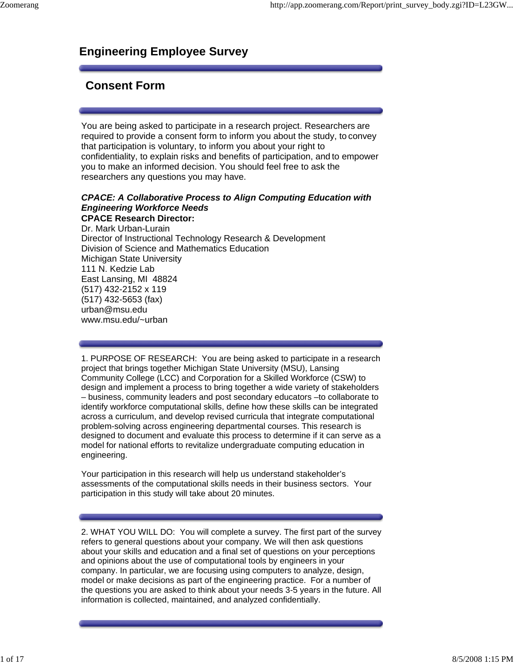## **Engineering Employee Survey**

### **Consent Form**

You are being asked to participate in a research project. Researchers are required to provide a consent form to inform you about the study, to convey that participation is voluntary, to inform you about your right to confidentiality, to explain risks and benefits of participation, and to empower you to make an informed decision. You should feel free to ask the researchers any questions you may have.

#### *CPACE: A Collaborative Process to Align Computing Education with Engineering Workforce Needs* **CPACE Research Director:**  Dr. Mark Urban-Lurain Director of Instructional Technology Research & Development Division of Science and Mathematics Education Michigan State University 111 N. Kedzie Lab East Lansing, MI 48824 (517) 432-2152 x 119 (517) 432-5653 (fax) urban@msu.edu www.msu.edu/~urban

1. PURPOSE OF RESEARCH: You are being asked to participate in a research project that brings together Michigan State University (MSU), Lansing Community College (LCC) and Corporation for a Skilled Workforce (CSW) to design and implement a process to bring together a wide variety of stakeholders – business, community leaders and post secondary educators –to collaborate to identify workforce computational skills, define how these skills can be integrated across a curriculum, and develop revised curricula that integrate computational problem-solving across engineering departmental courses. This research is designed to document and evaluate this process to determine if it can serve as a model for national efforts to revitalize undergraduate computing education in engineering.

Your participation in this research will help us understand stakeholder's assessments of the computational skills needs in their business sectors. Your participation in this study will take about 20 minutes.

2. WHAT YOU WILL DO: You will complete a survey. The first part of the survey refers to general questions about your company. We will then ask questions about your skills and education and a final set of questions on your perceptions and opinions about the use of computational tools by engineers in your company. In particular, we are focusing using computers to analyze, design, model or make decisions as part of the engineering practice. For a number of the questions you are asked to think about your needs 3-5 years in the future. All information is collected, maintained, and analyzed confidentially.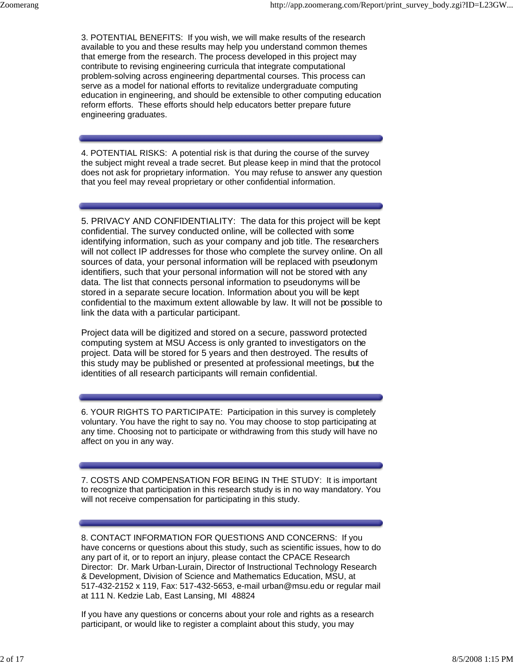3. POTENTIAL BENEFITS: If you wish, we will make results of the research available to you and these results may help you understand common themes that emerge from the research. The process developed in this project may contribute to revising engineering curricula that integrate computational problem-solving across engineering departmental courses. This process can serve as a model for national efforts to revitalize undergraduate computing education in engineering, and should be extensible to other computing education reform efforts. These efforts should help educators better prepare future engineering graduates.

4. POTENTIAL RISKS: A potential risk is that during the course of the survey the subject might reveal a trade secret. But please keep in mind that the protocol does not ask for proprietary information. You may refuse to answer any question that you feel may reveal proprietary or other confidential information.

5. PRIVACY AND CONFIDENTIALITY: The data for this project will be kept confidential. The survey conducted online, will be collected with some identifying information, such as your company and job title. The researchers will not collect IP addresses for those who complete the survey online. On all sources of data, your personal information will be replaced with pseudonym identifiers, such that your personal information will not be stored with any data. The list that connects personal information to pseudonyms will be stored in a separate secure location. Information about you will be kept confidential to the maximum extent allowable by law. It will not be possible to link the data with a particular participant.

Project data will be digitized and stored on a secure, password protected computing system at MSU Access is only granted to investigators on the project. Data will be stored for 5 years and then destroyed. The results of this study may be published or presented at professional meetings, but the identities of all research participants will remain confidential.

6. YOUR RIGHTS TO PARTICIPATE: Participation in this survey is completely voluntary. You have the right to say no. You may choose to stop participating at any time. Choosing not to participate or withdrawing from this study will have no affect on you in any way.

7. COSTS AND COMPENSATION FOR BEING IN THE STUDY: It is important to recognize that participation in this research study is in no way mandatory. You will not receive compensation for participating in this study.

8. CONTACT INFORMATION FOR QUESTIONS AND CONCERNS: If you have concerns or questions about this study, such as scientific issues, how to do any part of it, or to report an injury, please contact the CPACE Research Director: Dr. Mark Urban-Lurain, Director of Instructional Technology Research & Development, Division of Science and Mathematics Education, MSU, at 517-432-2152 x 119, Fax: 517-432-5653, e-mail urban@msu.edu or regular mail at 111 N. Kedzie Lab, East Lansing, MI 48824

If you have any questions or concerns about your role and rights as a research participant, or would like to register a complaint about this study, you may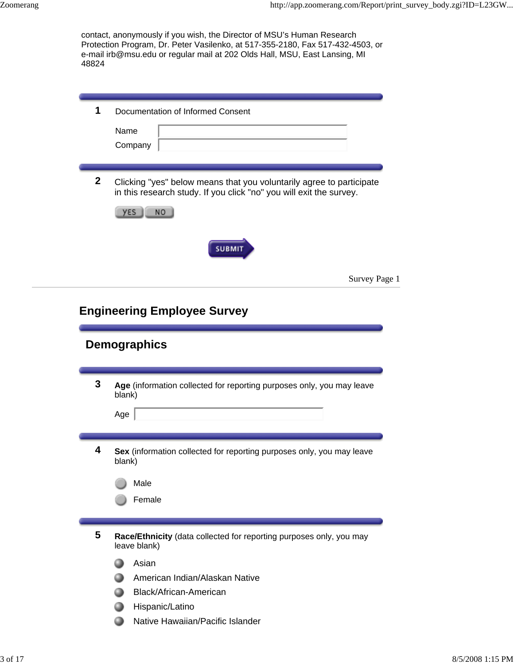| 48824        | contact, anonymously if you wish, the Director of MSU's Human Research<br>Protection Program, Dr. Peter Vasilenko, at 517-355-2180, Fax 517-432-4503, or<br>e-mail irb@msu.edu or regular mail at 202 Olds Hall, MSU, East Lansing, MI |
|--------------|----------------------------------------------------------------------------------------------------------------------------------------------------------------------------------------------------------------------------------------|
|              |                                                                                                                                                                                                                                        |
| 1            | Documentation of Informed Consent                                                                                                                                                                                                      |
|              | Name                                                                                                                                                                                                                                   |
|              | Company                                                                                                                                                                                                                                |
|              |                                                                                                                                                                                                                                        |
| $\mathbf{2}$ | Clicking "yes" below means that you voluntarily agree to participate<br>in this research study. If you click "no" you will exit the survey.<br><b>NO</b><br>yES                                                                        |
|              | <b>SUBMIT</b>                                                                                                                                                                                                                          |
|              | Survey Page 1                                                                                                                                                                                                                          |
|              | <b>Engineering Employee Survey</b><br><b>Demographics</b>                                                                                                                                                                              |
| 3            |                                                                                                                                                                                                                                        |
|              | Age (information collected for reporting purposes only, you may leave<br>blank)                                                                                                                                                        |
|              | Age                                                                                                                                                                                                                                    |
|              |                                                                                                                                                                                                                                        |
| 4            | Sex (information collected for reporting purposes only, you may leave<br>blank)                                                                                                                                                        |
|              | Male                                                                                                                                                                                                                                   |
|              | Female                                                                                                                                                                                                                                 |
|              |                                                                                                                                                                                                                                        |
|              |                                                                                                                                                                                                                                        |
| 5            | Race/Ethnicity (data collected for reporting purposes only, you may<br>leave blank)                                                                                                                                                    |
|              | Asian                                                                                                                                                                                                                                  |
|              | American Indian/Alaskan Native                                                                                                                                                                                                         |
|              | Black/African-American                                                                                                                                                                                                                 |
|              | Hispanic/Latino                                                                                                                                                                                                                        |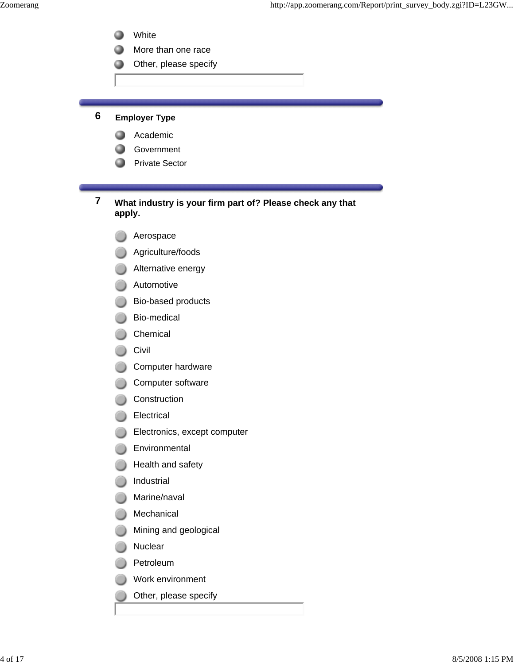- White 0
- 0 More than one race
- Other, please specify

### **6 Employer Type**

- **Academic**
- Government
- Private Sector

#### **7 What industry is your firm part of? Please check any that apply.**

- Aerospace
- **Agriculture/foods**
- **Alternative energy**
- **Automotive**
- Bio-based products
- Bio-medical
- Chemical
- Civil
- Computer hardware
- Computer software
- Construction
- **Electrical**
- Electronics, except computer
- **Environmental**
- **B** Health and safety
- **O** Industrial
- **Marine/naval**
- **Mechanical**
- **Mining and geological**
- **Nuclear**
- **Petroleum**
- Work environment
- Other, please specify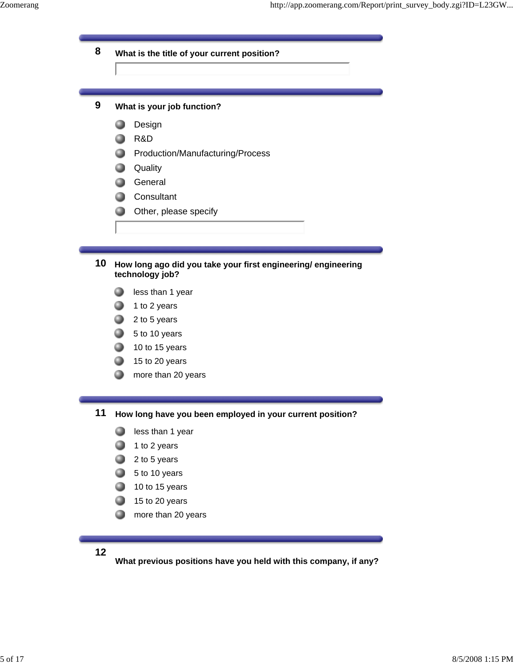## **8 What is the title of your current position?**

#### **9 What is your job function?**

- **Design**
- **R&D**
- **Production/Manufacturing/Process**
- **Quality**
- General
- **Consultant**
- **Other, please specify**

#### **10 How long ago did you take your first engineering/ engineering technology job?**

- less than 1 year 0
- $\bullet$  1 to 2 years
- $2$  to 5 years
- $\bullet$  5 to 10 years
- $10$  to 15 years
- $15$  to 20 years
- ◕ more than 20 years

**11 How long have you been employed in your current position?**

- **less than 1 year**
- 1 to 2 years
- $2$  to 5 years
- $\bigcirc$  5 to 10 years
- $10$  to 15 years
- $\Box$  15 to 20 years
- **Compare than 20 years**
- **12**

**What previous positions have you held with this company, if any?**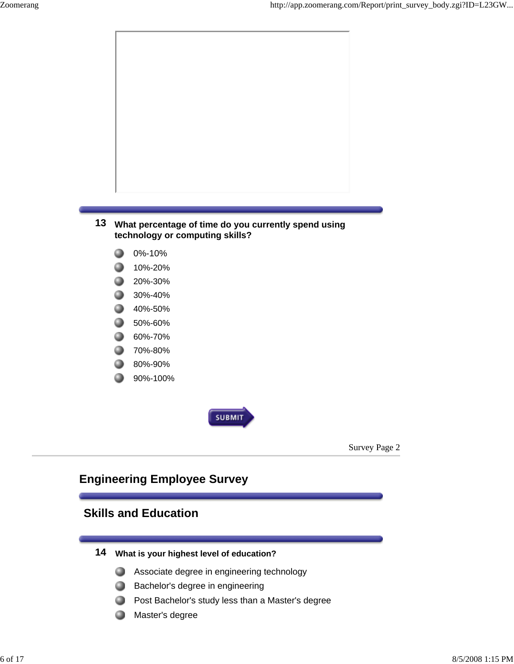

- 
- 70%-80% 0
- 0 80%-90%
- 90%-100% 0



Survey Page 2

## **Engineering Employee Survey**

## **Skills and Education**

- **14 What is your highest level of education?**
	- **Associate degree in engineering technology**
	- **Bachelor's degree in engineering**
	- **Post Bachelor's study less than a Master's degree**
	- **.** Master's degree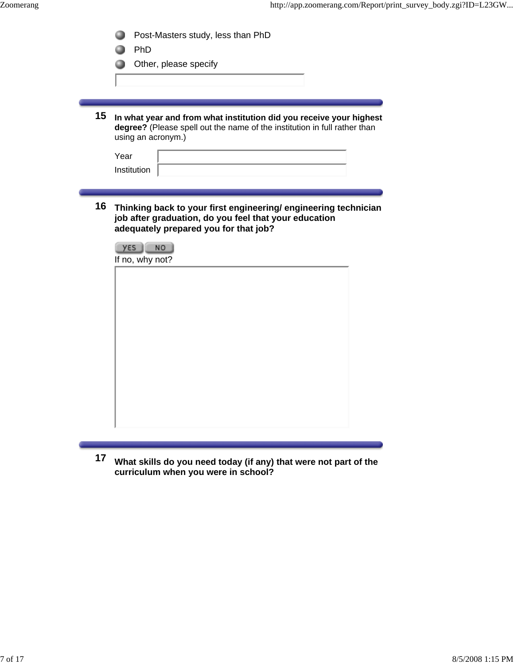|    | Post-Masters study, less than PhD                                                                                                                                      |  |  |  |
|----|------------------------------------------------------------------------------------------------------------------------------------------------------------------------|--|--|--|
|    | PhD                                                                                                                                                                    |  |  |  |
|    | Other, please specify                                                                                                                                                  |  |  |  |
|    |                                                                                                                                                                        |  |  |  |
|    |                                                                                                                                                                        |  |  |  |
|    |                                                                                                                                                                        |  |  |  |
| 15 | In what year and from what institution did you receive your highest<br>degree? (Please spell out the name of the institution in full rather than<br>using an acronym.) |  |  |  |
|    | Year                                                                                                                                                                   |  |  |  |
|    | Institution                                                                                                                                                            |  |  |  |
|    |                                                                                                                                                                        |  |  |  |
|    |                                                                                                                                                                        |  |  |  |
| 16 | Thinking back to your first engineering/ engineering technician<br>job after graduation, do you feel that your education<br>adequately prepared you for that job?      |  |  |  |
|    | yεs<br><b>NO</b>                                                                                                                                                       |  |  |  |
|    | If no, why not?                                                                                                                                                        |  |  |  |
|    |                                                                                                                                                                        |  |  |  |
|    |                                                                                                                                                                        |  |  |  |
|    |                                                                                                                                                                        |  |  |  |
|    |                                                                                                                                                                        |  |  |  |
|    |                                                                                                                                                                        |  |  |  |
|    |                                                                                                                                                                        |  |  |  |
|    |                                                                                                                                                                        |  |  |  |
|    |                                                                                                                                                                        |  |  |  |
|    |                                                                                                                                                                        |  |  |  |
|    |                                                                                                                                                                        |  |  |  |
|    |                                                                                                                                                                        |  |  |  |
|    |                                                                                                                                                                        |  |  |  |
|    |                                                                                                                                                                        |  |  |  |

**17 What skills do you need today (if any) that were not part of the curriculum when you were in school?**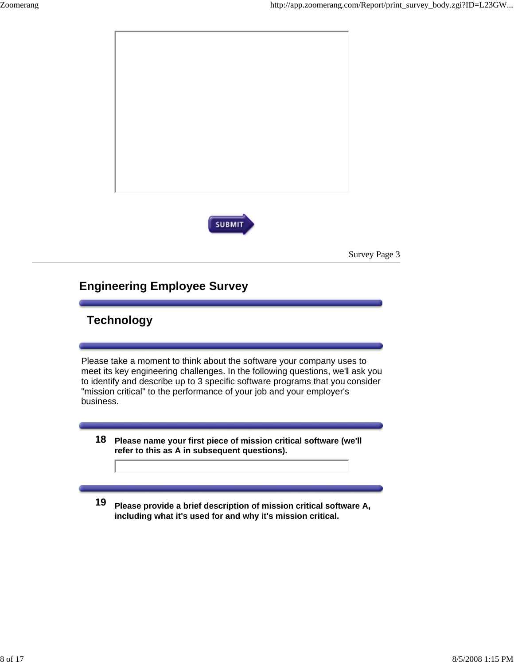



Survey Page 3

# **Engineering Employee Survey**

## **Technology**

Please take a moment to think about the software your company uses to meet its key engineering challenges. In the following questions, we'll ask you to identify and describe up to 3 specific software programs that you consider "mission critical" to the performance of your job and your employer's business.

- **18 Please name your first piece of mission critical software (we'll refer to this as A in subsequent questions).**
- **19 Please provide a brief description of mission critical software A, including what it's used for and why it's mission critical.**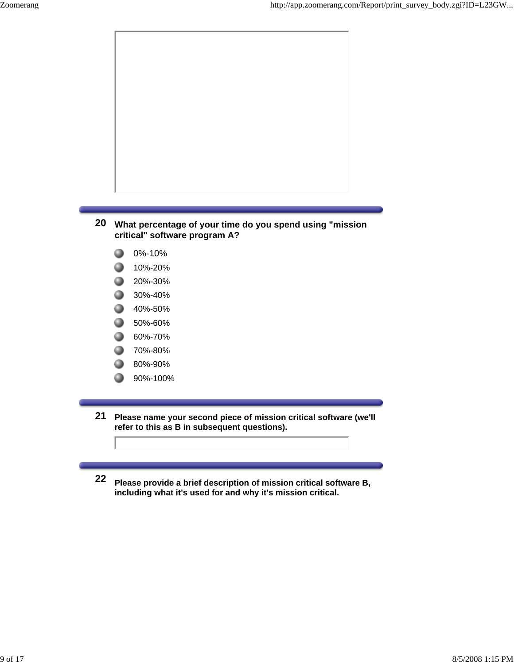

- 0 10%-20%
- 0 20%-30%
- 0 30%-40%
- 0 40%-50%
- 0 50%-60%
- 60%-70% 0
- 70%-80% 0
- 80%-90% 0
- 90%-100% 0
- **21 Please name your second piece of mission critical software (we'll refer to this as B in subsequent questions).**
- **22 Please provide a brief description of mission critical software B, including what it's used for and why it's mission critical.**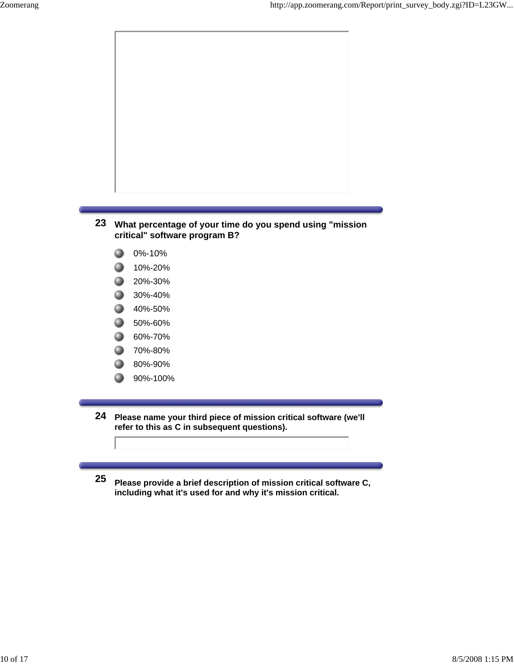

- **critical" software program B?**
- 0%-10% 0
- 0 10%-20%
- 0 20%-30%
- 0 30%-40%
- 0 40%-50%
- 0 50%-60%
- 60%-70% 0
- 70%-80% 0
- 80%-90% 0
- 90%-100% 0

**24 Please name your third piece of mission critical software (we'll refer to this as C in subsequent questions).**

**25 Please provide a brief description of mission critical software C, including what it's used for and why it's mission critical.**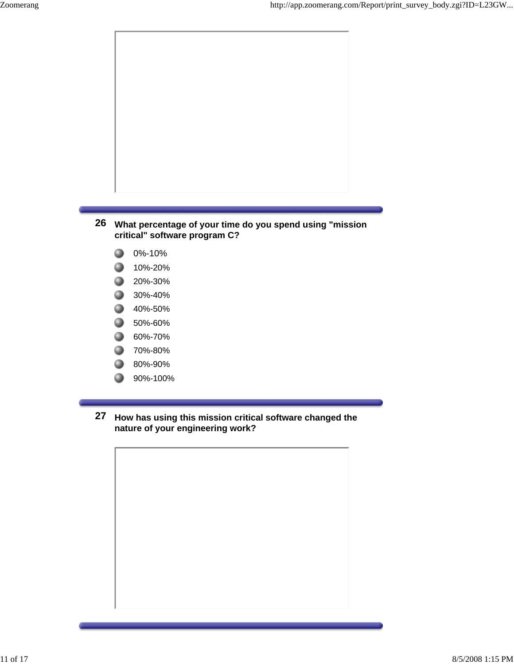

**26 What percentage of your time do you spend using "mission critical" software program C?**

- 0 0%-10%
- 0 10%-20%
- 20%-30%
- 30%-40%
- <sup>40%-50%</sup>
- 0 50%-60%
- **60%-70%**
- 70%-80% 0
- 0 80%-90%
- 90%-100% 0
- **27 How has using this mission critical software changed the nature of your engineering work?**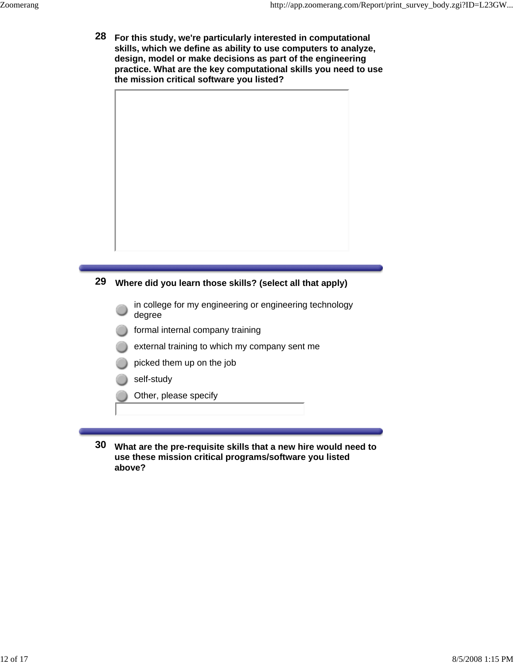**28 For this study, we're particularly interested in computational skills, which we define as ability to use computers to analyze, design, model or make decisions as part of the engineering practice. What are the key computational skills you need to use the mission critical software you listed?**



### **29 Where did you learn those skills? (select all that apply)**

- in college for my engineering or engineering technology degree
- formal internal company training
- external training to which my company sent me
- picked them up on the job
- self-study
- Other, please specify
- **30 What are the pre-requisite skills that a new hire would need to use these mission critical programs/software you listed above?**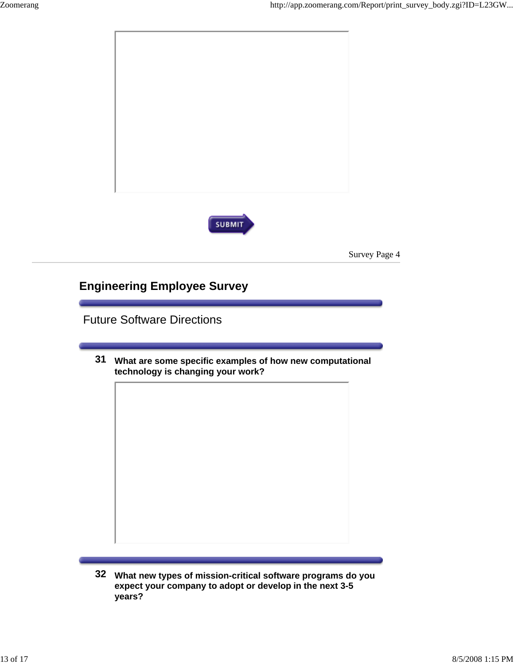

**32 What new types of mission-critical software programs do you expect your company to adopt or develop in the next 3-5 years?**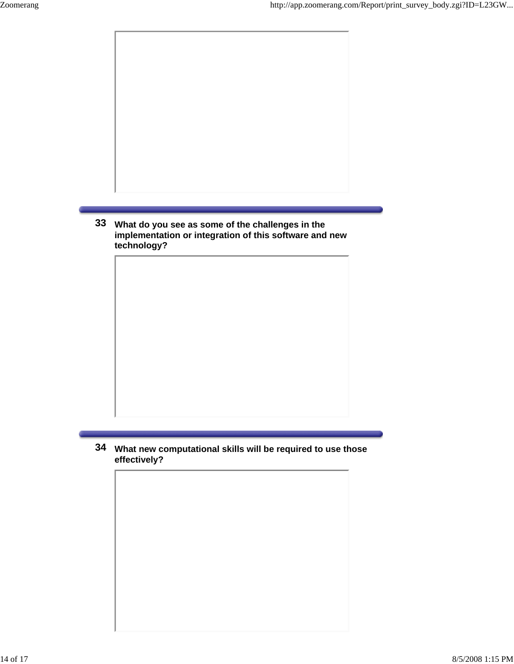

**33 What do you see as some of the challenges in the implementation or integration of this software and new technology?**

**34 What new computational skills will be required to use those effectively?**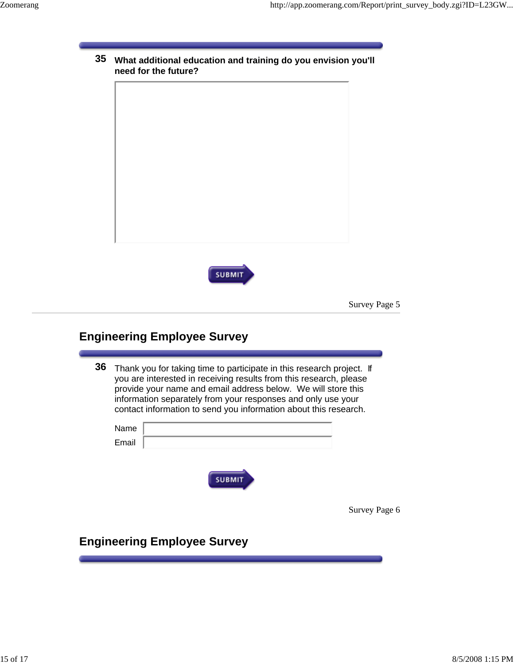| <b>SUBMIT</b> |  |
|---------------|--|
|               |  |

### **Engineering Employee Survey**

**36** Thank you for taking time to participate in this research project. If you are interested in receiving results from this research, please provide your name and email address below. We will store this information separately from your responses and only use your contact information to send you information about this research.

| Name<br>Email |                                    |               |
|---------------|------------------------------------|---------------|
|               | <b>SUBMIT</b>                      |               |
|               |                                    | Survey Page 6 |
|               | <b>Engineering Employee Survey</b> |               |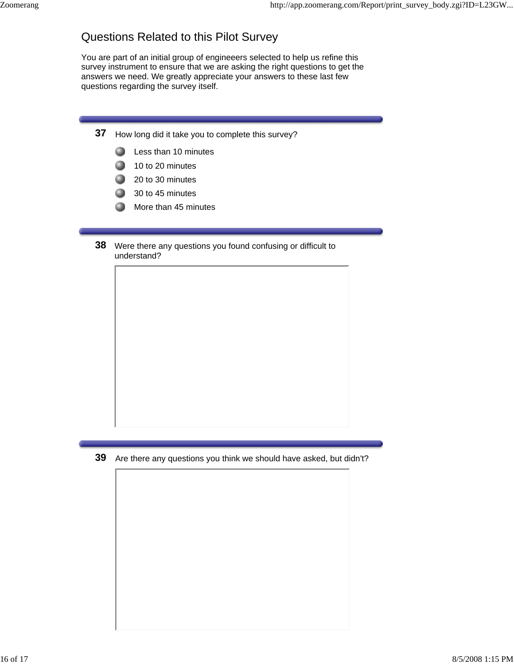# Questions Related to this Pilot Survey

You are part of an initial group of engineeers selected to help us refine this survey instrument to ensure that we are asking the right questions to get the answers we need. We greatly appreciate your answers to these last few questions regarding the survey itself.

- **37** How long did it take you to complete this survey?
	- 0 Less than 10 minutes
	- Q 10 to 20 minutes
	- **.** 20 to 30 minutes
	- 30 to 45 minutes
	- Q More than 45 minutes
- **38** Were there any questions you found confusing or difficult to understand?

**39** Are there any questions you think we should have asked, but didn't?